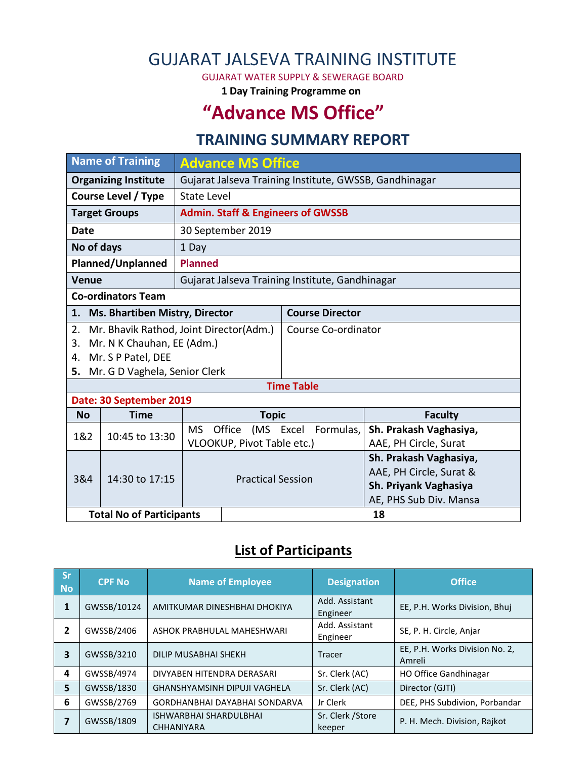# GUJARAT JALSEVA TRAINING INSTITUTE

GUJARAT WATER SUPPLY & SEWERAGE BOARD

**1 Day Training Programme on**

# **"Advance MS Office"**

## **TRAINING SUMMARY REPORT**

| <b>Name of Training</b>              |                                         | <b>Advance MS Office</b>                               |              |                        |                                                 |  |  |
|--------------------------------------|-----------------------------------------|--------------------------------------------------------|--------------|------------------------|-------------------------------------------------|--|--|
| <b>Organizing Institute</b>          |                                         | Gujarat Jalseva Training Institute, GWSSB, Gandhinagar |              |                        |                                                 |  |  |
| <b>Course Level / Type</b>           |                                         | <b>State Level</b>                                     |              |                        |                                                 |  |  |
| <b>Target Groups</b>                 |                                         | <b>Admin. Staff &amp; Engineers of GWSSB</b>           |              |                        |                                                 |  |  |
| <b>Date</b>                          |                                         | 30 September 2019                                      |              |                        |                                                 |  |  |
| No of days                           |                                         | 1 Day                                                  |              |                        |                                                 |  |  |
| Planned/Unplanned                    |                                         | <b>Planned</b>                                         |              |                        |                                                 |  |  |
| <b>Venue</b>                         |                                         | Gujarat Jalseva Training Institute, Gandhinagar        |              |                        |                                                 |  |  |
| <b>Co-ordinators Team</b>            |                                         |                                                        |              |                        |                                                 |  |  |
| Ms. Bhartiben Mistry, Director<br>1. |                                         |                                                        |              | <b>Course Director</b> |                                                 |  |  |
| 2.                                   | Mr. Bhavik Rathod, Joint Director(Adm.) |                                                        |              | Course Co-ordinator    |                                                 |  |  |
| Mr. N K Chauhan, EE (Adm.)<br>3.     |                                         |                                                        |              |                        |                                                 |  |  |
| Mr. S P Patel, DEE<br>4.             |                                         |                                                        |              |                        |                                                 |  |  |
| 5. Mr. G D Vaghela, Senior Clerk     |                                         |                                                        |              |                        |                                                 |  |  |
|                                      |                                         |                                                        |              | <b>Time Table</b>      |                                                 |  |  |
| Date: 30 September 2019              |                                         |                                                        |              |                        |                                                 |  |  |
| <b>No</b>                            | <b>Time</b>                             |                                                        | <b>Topic</b> |                        | <b>Faculty</b>                                  |  |  |
| 1&2                                  | 10:45 to 13:30                          | <b>MS</b>                                              | Office       | (MS Excel Formulas,    | Sh. Prakash Vaghasiya,                          |  |  |
|                                      |                                         | VLOOKUP, Pivot Table etc.)                             |              |                        | AAE, PH Circle, Surat                           |  |  |
|                                      | 14:30 to 17:15                          |                                                        |              |                        | Sh. Prakash Vaghasiya,                          |  |  |
| 3&4                                  |                                         | <b>Practical Session</b>                               |              |                        | AAE, PH Circle, Surat &                         |  |  |
|                                      |                                         |                                                        |              |                        | Sh. Priyank Vaghasiya<br>AE, PHS Sub Div. Mansa |  |  |
| <b>Total No of Participants</b>      |                                         |                                                        | 18           |                        |                                                 |  |  |
|                                      |                                         |                                                        |              |                        |                                                 |  |  |

## **List of Participants**

| <b>Sr</b><br><b>No</b> | <b>CPF No</b> | <b>Name of Employee</b>                            | <b>Designation</b>          | <b>Office</b>                            |
|------------------------|---------------|----------------------------------------------------|-----------------------------|------------------------------------------|
| 1                      | GWSSB/10124   | AMITKUMAR DINESHBHAI DHOKIYA                       | Add. Assistant<br>Engineer  | EE, P.H. Works Division, Bhuj            |
| 2                      | GWSSB/2406    | ASHOK PRABHULAL MAHESHWARI                         | Add. Assistant<br>Engineer  | SE, P. H. Circle, Anjar                  |
| 3                      | GWSSB/3210    | DILIP MUSABHAI SHEKH                               | Tracer                      | EE, P.H. Works Division No. 2,<br>Amreli |
| 4                      | GWSSB/4974    | DIVYABEN HITENDRA DERASARI                         | Sr. Clerk (AC)              | HO Office Gandhinagar                    |
| 5                      | GWSSB/1830    | <b>GHANSHYAMSINH DIPUJI VAGHELA</b>                | Sr. Clerk (AC)              | Director (GJTI)                          |
| 6                      | GWSSB/2769    | GORDHANBHAI DAYABHAI SONDARVA                      | Jr Clerk                    | DEE, PHS Subdivion, Porbandar            |
|                        | GWSSB/1809    | <b>ISHWARBHAI SHARDULBHAI</b><br><b>CHHANIYARA</b> | Sr. Clerk / Store<br>keeper | P. H. Mech. Division, Rajkot             |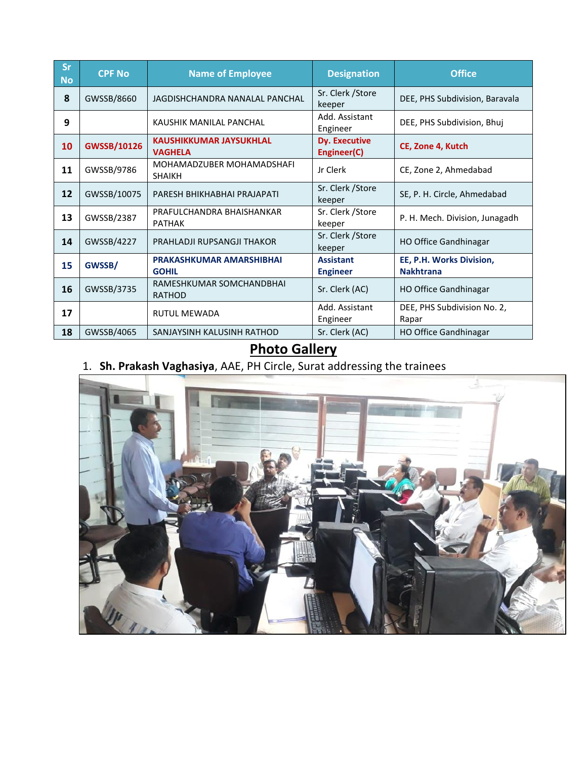| <b>Sr</b><br><b>No</b> | <b>CPF No</b>      | <b>Name of Employee</b>                          | <b>Designation</b>                  | <b>Office</b>                                |
|------------------------|--------------------|--------------------------------------------------|-------------------------------------|----------------------------------------------|
| 8                      | GWSSB/8660         | JAGDISHCHANDRA NANALAL PANCHAL                   | Sr. Clerk / Store<br>keeper         | DEE, PHS Subdivision, Baravala               |
| 9                      |                    | KAUSHIK MANILAL PANCHAL                          | Add. Assistant<br>Engineer          | DEE, PHS Subdivision, Bhuj                   |
| 10                     | <b>GWSSB/10126</b> | <b>KAUSHIKKUMAR JAYSUKHLAL</b><br><b>VAGHELA</b> | <b>Dy. Executive</b><br>Engineer(C) | CE, Zone 4, Kutch                            |
| 11                     | GWSSB/9786         | MOHAMADZUBER MOHAMADSHAFI<br><b>SHAIKH</b>       | Jr Clerk                            | CE, Zone 2, Ahmedabad                        |
| 12                     | GWSSB/10075        | PARESH BHIKHABHAI PRAJAPATI                      | Sr. Clerk / Store<br>keeper         | SE, P. H. Circle, Ahmedabad                  |
| 13                     | GWSSB/2387         | PRAFULCHANDRA BHAISHANKAR<br><b>PATHAK</b>       | Sr. Clerk / Store<br>keeper         | P. H. Mech. Division, Junagadh               |
| 14                     | GWSSB/4227         | PRAHLADJI RUPSANGJI THAKOR                       | Sr. Clerk / Store<br>keeper         | <b>HO Office Gandhinagar</b>                 |
| 15                     | GWSSB/             | <b>PRAKASHKUMAR AMARSHIBHAI</b><br><b>GOHIL</b>  | <b>Assistant</b><br><b>Engineer</b> | EE, P.H. Works Division,<br><b>Nakhtrana</b> |
| 16                     | GWSSB/3735         | RAMESHKUMAR SOMCHANDBHAI<br><b>RATHOD</b>        | Sr. Clerk (AC)                      | <b>HO Office Gandhinagar</b>                 |
| 17                     |                    | <b>RUTUL MEWADA</b>                              | Add. Assistant<br>Engineer          | DEE, PHS Subdivision No. 2,<br>Rapar         |
| 18                     | GWSSB/4065         | SANJAYSINH KALUSINH RATHOD                       | Sr. Clerk (AC)                      | <b>HO Office Gandhinagar</b>                 |

### **Photo Gallery**

#### 1. **Sh. Prakash Vaghasiya**, AAE, PH Circle, Surat addressing the trainees